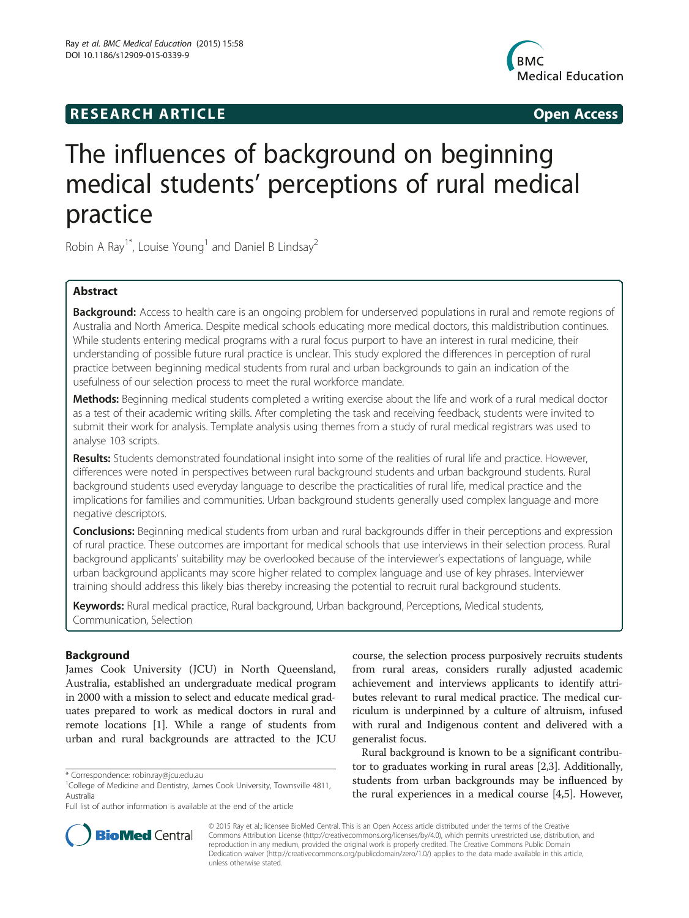# **RESEARCH ARTICLE Example 2014 12:30 The SEAR CHA RTICLE**



# The influences of background on beginning medical students' perceptions of rural medical practice

Robin A Ray<sup>1\*</sup>, Louise Young<sup>1</sup> and Daniel B Lindsay<sup>2</sup>

# Abstract

Background: Access to health care is an ongoing problem for underserved populations in rural and remote regions of Australia and North America. Despite medical schools educating more medical doctors, this maldistribution continues. While students entering medical programs with a rural focus purport to have an interest in rural medicine, their understanding of possible future rural practice is unclear. This study explored the differences in perception of rural practice between beginning medical students from rural and urban backgrounds to gain an indication of the usefulness of our selection process to meet the rural workforce mandate.

Methods: Beginning medical students completed a writing exercise about the life and work of a rural medical doctor as a test of their academic writing skills. After completing the task and receiving feedback, students were invited to submit their work for analysis. Template analysis using themes from a study of rural medical registrars was used to analyse 103 scripts.

Results: Students demonstrated foundational insight into some of the realities of rural life and practice. However, differences were noted in perspectives between rural background students and urban background students. Rural background students used everyday language to describe the practicalities of rural life, medical practice and the implications for families and communities. Urban background students generally used complex language and more negative descriptors.

Conclusions: Beginning medical students from urban and rural backgrounds differ in their perceptions and expression of rural practice. These outcomes are important for medical schools that use interviews in their selection process. Rural background applicants' suitability may be overlooked because of the interviewer's expectations of language, while urban background applicants may score higher related to complex language and use of key phrases. Interviewer training should address this likely bias thereby increasing the potential to recruit rural background students.

Keywords: Rural medical practice, Rural background, Urban background, Perceptions, Medical students, Communication, Selection

# Background

James Cook University (JCU) in North Queensland, Australia, established an undergraduate medical program in 2000 with a mission to select and educate medical graduates prepared to work as medical doctors in rural and remote locations [\[1\]](#page-7-0). While a range of students from urban and rural backgrounds are attracted to the JCU

course, the selection process purposively recruits students from rural areas, considers rurally adjusted academic achievement and interviews applicants to identify attributes relevant to rural medical practice. The medical curriculum is underpinned by a culture of altruism, infused with rural and Indigenous content and delivered with a generalist focus.

Rural background is known to be a significant contributor to graduates working in rural areas [\[2,3](#page-7-0)]. Additionally, students from urban backgrounds may be influenced by the rural experiences in a medical course [[4,5](#page-7-0)]. However,



© 2015 Ray et al.; licensee BioMed Central. This is an Open Access article distributed under the terms of the Creative Commons Attribution License [\(http://creativecommons.org/licenses/by/4.0\)](http://creativecommons.org/licenses/by/4.0), which permits unrestricted use, distribution, and reproduction in any medium, provided the original work is properly credited. The Creative Commons Public Domain Dedication waiver [\(http://creativecommons.org/publicdomain/zero/1.0/](http://creativecommons.org/publicdomain/zero/1.0/)) applies to the data made available in this article, unless otherwise stated.

<sup>\*</sup> Correspondence: [robin.ray@jcu.edu.au](mailto:robin.ray@jcu.edu.au) <sup>1</sup>

<sup>&</sup>lt;sup>1</sup>College of Medicine and Dentistry, James Cook University, Townsville 4811, Australia

Full list of author information is available at the end of the article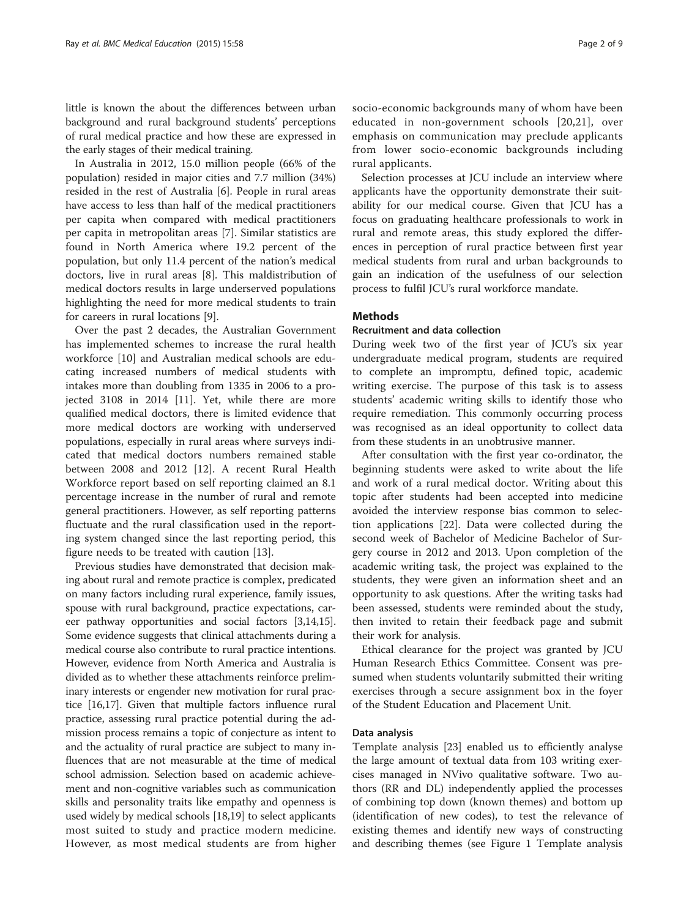little is known the about the differences between urban background and rural background students' perceptions of rural medical practice and how these are expressed in the early stages of their medical training.

In Australia in 2012, 15.0 million people (66% of the population) resided in major cities and 7.7 million (34%) resided in the rest of Australia [[6\]](#page-7-0). People in rural areas have access to less than half of the medical practitioners per capita when compared with medical practitioners per capita in metropolitan areas [[7\]](#page-7-0). Similar statistics are found in North America where 19.2 percent of the population, but only 11.4 percent of the nation's medical doctors, live in rural areas [[8\]](#page-7-0). This maldistribution of medical doctors results in large underserved populations highlighting the need for more medical students to train for careers in rural locations [\[9\]](#page-7-0).

Over the past 2 decades, the Australian Government has implemented schemes to increase the rural health workforce [[10\]](#page-7-0) and Australian medical schools are educating increased numbers of medical students with intakes more than doubling from 1335 in 2006 to a projected 3108 in 2014 [\[11](#page-7-0)]. Yet, while there are more qualified medical doctors, there is limited evidence that more medical doctors are working with underserved populations, especially in rural areas where surveys indicated that medical doctors numbers remained stable between 2008 and 2012 [[12\]](#page-7-0). A recent Rural Health Workforce report based on self reporting claimed an 8.1 percentage increase in the number of rural and remote general practitioners. However, as self reporting patterns fluctuate and the rural classification used in the reporting system changed since the last reporting period, this figure needs to be treated with caution [[13](#page-7-0)].

Previous studies have demonstrated that decision making about rural and remote practice is complex, predicated on many factors including rural experience, family issues, spouse with rural background, practice expectations, career pathway opportunities and social factors [\[3,14,15](#page-7-0)]. Some evidence suggests that clinical attachments during a medical course also contribute to rural practice intentions. However, evidence from North America and Australia is divided as to whether these attachments reinforce preliminary interests or engender new motivation for rural practice [\[16,17](#page-7-0)]. Given that multiple factors influence rural practice, assessing rural practice potential during the admission process remains a topic of conjecture as intent to and the actuality of rural practice are subject to many influences that are not measurable at the time of medical school admission. Selection based on academic achievement and non-cognitive variables such as communication skills and personality traits like empathy and openness is used widely by medical schools [\[18,19](#page-7-0)] to select applicants most suited to study and practice modern medicine. However, as most medical students are from higher socio-economic backgrounds many of whom have been educated in non-government schools [[20,21\]](#page-7-0), over emphasis on communication may preclude applicants from lower socio-economic backgrounds including rural applicants.

Selection processes at JCU include an interview where applicants have the opportunity demonstrate their suitability for our medical course. Given that JCU has a focus on graduating healthcare professionals to work in rural and remote areas, this study explored the differences in perception of rural practice between first year medical students from rural and urban backgrounds to gain an indication of the usefulness of our selection process to fulfil JCU's rural workforce mandate.

# **Methods**

# Recruitment and data collection

During week two of the first year of JCU's six year undergraduate medical program, students are required to complete an impromptu, defined topic, academic writing exercise. The purpose of this task is to assess students' academic writing skills to identify those who require remediation. This commonly occurring process was recognised as an ideal opportunity to collect data from these students in an unobtrusive manner.

After consultation with the first year co-ordinator, the beginning students were asked to write about the life and work of a rural medical doctor. Writing about this topic after students had been accepted into medicine avoided the interview response bias common to selection applications [\[22\]](#page-7-0). Data were collected during the second week of Bachelor of Medicine Bachelor of Surgery course in 2012 and 2013. Upon completion of the academic writing task, the project was explained to the students, they were given an information sheet and an opportunity to ask questions. After the writing tasks had been assessed, students were reminded about the study, then invited to retain their feedback page and submit their work for analysis.

Ethical clearance for the project was granted by JCU Human Research Ethics Committee. Consent was presumed when students voluntarily submitted their writing exercises through a secure assignment box in the foyer of the Student Education and Placement Unit.

## Data analysis

Template analysis [[23](#page-7-0)] enabled us to efficiently analyse the large amount of textual data from 103 writing exercises managed in NVivo qualitative software. Two authors (RR and DL) independently applied the processes of combining top down (known themes) and bottom up (identification of new codes), to test the relevance of existing themes and identify new ways of constructing and describing themes (see Figure [1](#page-2-0) Template analysis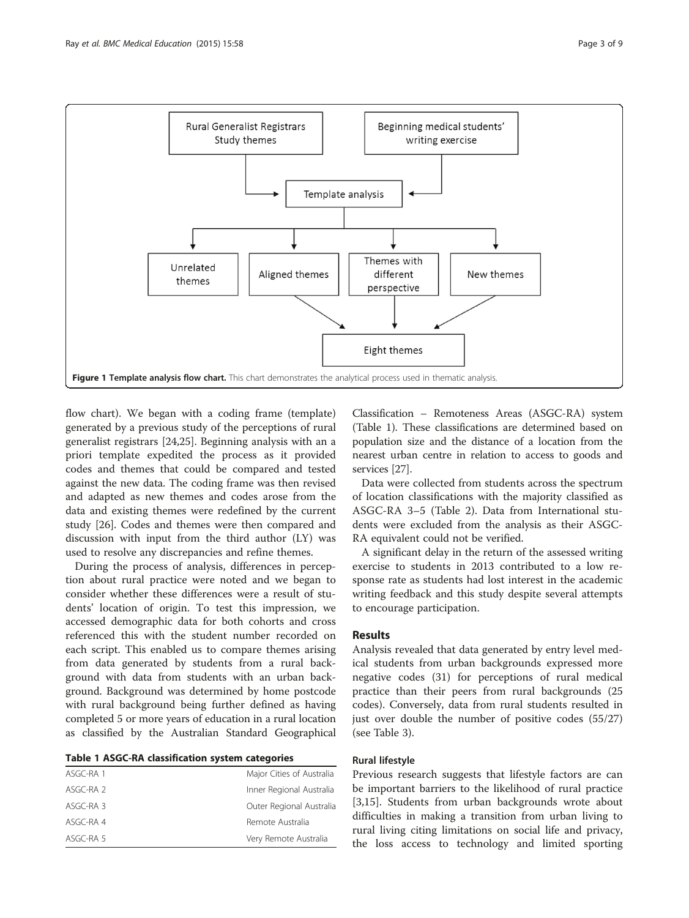<span id="page-2-0"></span>

flow chart). We began with a coding frame (template) generated by a previous study of the perceptions of rural generalist registrars [\[24,25\]](#page-7-0). Beginning analysis with an a priori template expedited the process as it provided codes and themes that could be compared and tested against the new data. The coding frame was then revised and adapted as new themes and codes arose from the data and existing themes were redefined by the current study [[26](#page-8-0)]. Codes and themes were then compared and discussion with input from the third author (LY) was used to resolve any discrepancies and refine themes.

During the process of analysis, differences in perception about rural practice were noted and we began to consider whether these differences were a result of students' location of origin. To test this impression, we accessed demographic data for both cohorts and cross referenced this with the student number recorded on each script. This enabled us to compare themes arising from data generated by students from a rural background with data from students with an urban background. Background was determined by home postcode with rural background being further defined as having completed 5 or more years of education in a rural location as classified by the Australian Standard Geographical

| Table 1 ASGC-RA classification system categories |  |  |  |
|--------------------------------------------------|--|--|--|
|--------------------------------------------------|--|--|--|

| ASGC-RA 5            | Very Remote Australia     |
|----------------------|---------------------------|
| ASGC-RA 4            | Remote Australia          |
| ASGC-RA3             | Outer Regional Australia  |
| ASGC-RA <sub>2</sub> | Inner Regional Australia  |
| ASGC-RA 1            | Major Cities of Australia |

Classification – Remoteness Areas (ASGC-RA) system (Table 1). These classifications are determined based on population size and the distance of a location from the nearest urban centre in relation to access to goods and services [[27](#page-8-0)].

Data were collected from students across the spectrum of location classifications with the majority classified as ASGC-RA 3–5 (Table [2](#page-3-0)). Data from International students were excluded from the analysis as their ASGC-RA equivalent could not be verified.

A significant delay in the return of the assessed writing exercise to students in 2013 contributed to a low response rate as students had lost interest in the academic writing feedback and this study despite several attempts to encourage participation.

# Results

Analysis revealed that data generated by entry level medical students from urban backgrounds expressed more negative codes (31) for perceptions of rural medical practice than their peers from rural backgrounds (25 codes). Conversely, data from rural students resulted in just over double the number of positive codes (55/27) (see Table [3\)](#page-3-0).

# Rural lifestyle

Previous research suggests that lifestyle factors are can be important barriers to the likelihood of rural practice [[3,15\]](#page-7-0). Students from urban backgrounds wrote about difficulties in making a transition from urban living to rural living citing limitations on social life and privacy, the loss access to technology and limited sporting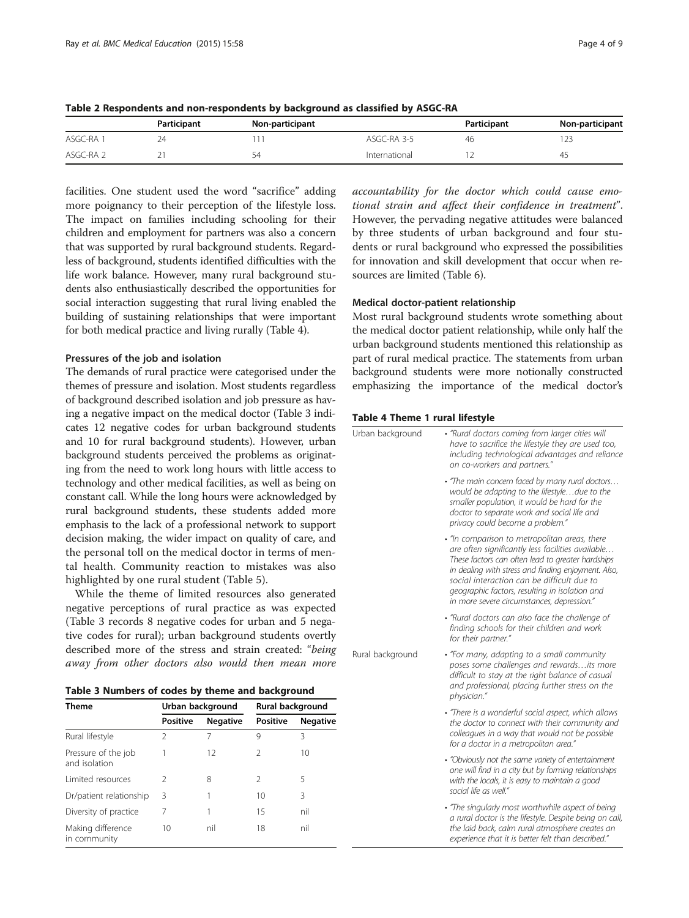|           | Participant | Non-participant |               | Participant | Non-participant |
|-----------|-------------|-----------------|---------------|-------------|-----------------|
| ASGC-RA 1 |             |                 | ASGC-RA 3-5   | 46          |                 |
| ASGC-RA 2 |             | 74              | International |             | $4^{\circ}$     |

<span id="page-3-0"></span>Table 2 Respondents and non-respondents by background as classified by ASGC-RA

facilities. One student used the word "sacrifice" adding more poignancy to their perception of the lifestyle loss. The impact on families including schooling for their children and employment for partners was also a concern that was supported by rural background students. Regardless of background, students identified difficulties with the life work balance. However, many rural background students also enthusiastically described the opportunities for social interaction suggesting that rural living enabled the building of sustaining relationships that were important for both medical practice and living rurally (Table 4).

# Pressures of the job and isolation

The demands of rural practice were categorised under the themes of pressure and isolation. Most students regardless of background described isolation and job pressure as having a negative impact on the medical doctor (Table 3 indicates 12 negative codes for urban background students and 10 for rural background students). However, urban background students perceived the problems as originating from the need to work long hours with little access to technology and other medical facilities, as well as being on constant call. While the long hours were acknowledged by rural background students, these students added more emphasis to the lack of a professional network to support decision making, the wider impact on quality of care, and the personal toll on the medical doctor in terms of mental health. Community reaction to mistakes was also highlighted by one rural student (Table [5](#page-4-0)).

While the theme of limited resources also generated negative perceptions of rural practice as was expected (Table 3 records 8 negative codes for urban and 5 negative codes for rural); urban background students overtly described more of the stress and strain created: "being away from other doctors also would then mean more

| <b>Theme</b>                         | Urban background |                 | Rural background |                 |
|--------------------------------------|------------------|-----------------|------------------|-----------------|
|                                      | <b>Positive</b>  | <b>Negative</b> | <b>Positive</b>  | <b>Negative</b> |
| Rural lifestyle                      | 2                | 7               | 9                | 3               |
| Pressure of the job<br>and isolation |                  | 12              | 2                | 10              |
| Limited resources                    | 2                | 8               | 2                | 5               |
| Dr/patient relationship              | 3                |                 | 10               | 3               |
| Diversity of practice                | 7                |                 | 15               | nil             |
| Making difference<br>in community    | 10               | nil             | 18               | nil             |

accountability for the doctor which could cause emotional strain and affect their confidence in treatment". However, the pervading negative attitudes were balanced by three students of urban background and four students or rural background who expressed the possibilities for innovation and skill development that occur when resources are limited (Table [6](#page-4-0)).

#### Medical doctor-patient relationship

Most rural background students wrote something about the medical doctor patient relationship, while only half the urban background students mentioned this relationship as part of rural medical practice. The statements from urban background students were more notionally constructed emphasizing the importance of the medical doctor's

#### Table 4 Theme 1 rural lifestyle

| Urban background | · "Rural doctors coming from larger cities will<br>have to sacrifice the lifestyle they are used too,<br>including technological advantages and reliance<br>on co-workers and partners."                                                                                                                                                                     |
|------------------|--------------------------------------------------------------------------------------------------------------------------------------------------------------------------------------------------------------------------------------------------------------------------------------------------------------------------------------------------------------|
|                  | . "The main concern faced by many rural doctors<br>would be adapting to the lifestyledue to the<br>smaller population, it would be hard for the<br>doctor to separate work and social life and<br>privacy could become a problem."                                                                                                                           |
|                  | • "In comparison to metropolitan areas, there<br>are often significantly less facilities available<br>These factors can often lead to greater hardships<br>in dealing with stress and finding enjoyment. Also,<br>social interaction can be difficult due to<br>geographic factors, resulting in isolation and<br>in more severe circumstances, depression." |
|                  | • "Rural doctors can also face the challenge of<br>finding schools for their children and work<br>for their partner."                                                                                                                                                                                                                                        |
| Rural background | • "For many, adapting to a small community<br>poses some challenges and rewardsits more<br>difficult to stay at the right balance of casual<br>and professional, placing further stress on the<br>physician."                                                                                                                                                |
|                  | · "There is a wonderful social aspect, which allows<br>the doctor to connect with their community and<br>colleagues in a way that would not be possible<br>for a doctor in a metropolitan area."                                                                                                                                                             |
|                  | • "Obviously not the same variety of entertainment<br>one will find in a city but by forming relationships<br>with the locals, it is easy to maintain a good<br>social life as well."                                                                                                                                                                        |
|                  | . "The singularly most worthwhile aspect of being<br>a rural doctor is the lifestyle. Despite being on call,<br>the laid back, calm rural atmosphere creates an<br>experience that it is better felt than described."                                                                                                                                        |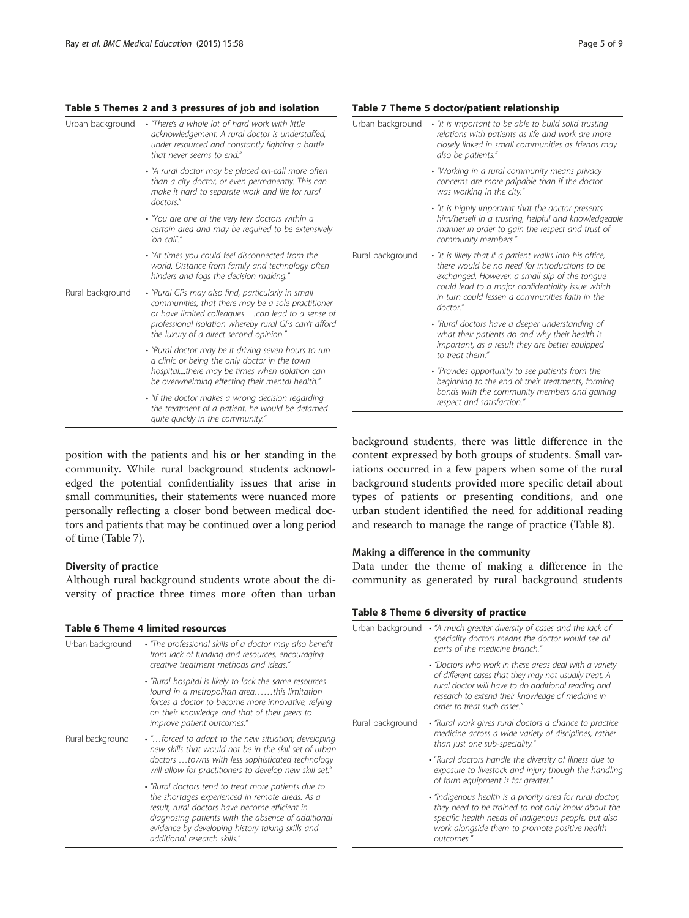#### <span id="page-4-0"></span>Table 5 Themes 2 and 3 pressures of job and isolation

| Urban background | • "There's a whole lot of hard work with little<br>acknowledgement. A rural doctor is understaffed,<br>under resourced and constantly fighting a battle<br>that never seems to end."                                                                              | Urb |
|------------------|-------------------------------------------------------------------------------------------------------------------------------------------------------------------------------------------------------------------------------------------------------------------|-----|
|                  | • "A rural doctor may be placed on-call more often<br>than a city doctor, or even permanently. This can<br>make it hard to separate work and life for rural<br>doctors."                                                                                          |     |
|                  | • "You are one of the very few doctors within a<br>certain area and may be required to be extensively<br>'on call'."                                                                                                                                              |     |
|                  | • "At times you could feel disconnected from the<br>world. Distance from family and technology often<br>hinders and fogs the decision making."                                                                                                                    | Rur |
| Rural background | · "Rural GPs may also find, particularly in small<br>communities, that there may be a sole practitioner<br>or have limited colleagues  can lead to a sense of<br>professional isolation whereby rural GPs can't afford<br>the luxury of a direct second opinion." |     |
|                  | . "Rural doctor may be it driving seven hours to run<br>a clinic or being the only doctor in the town<br>hospitalthere may be times when isolation can<br>be overwhelming effecting their mental health."                                                         |     |
|                  | • "If the doctor makes a wrong decision regarding<br>the treatment of a patient, he would be defamed<br>quite quickly in the community."                                                                                                                          |     |

position with the patients and his or her standing in the community. While rural background students acknowledged the potential confidentiality issues that arise in small communities, their statements were nuanced more personally reflecting a closer bond between medical doctors and patients that may be continued over a long period of time (Table 7).

# Diversity of practice

Although rural background students wrote about the diversity of practice three times more often than urban

## Table 6 Theme 4 limited resources

| Urban background | • "The professional skills of a doctor may also benefit<br>from lack of funding and resources, encouraging<br>creative treatment methods and ideas."                                                                                                                                               |
|------------------|----------------------------------------------------------------------------------------------------------------------------------------------------------------------------------------------------------------------------------------------------------------------------------------------------|
|                  | • "Rural hospital is likely to lack the same resources<br>found in a metropolitan areathis limitation<br>forces a doctor to become more innovative, relying<br>on their knowledge and that of their peers to<br>improve patient outcomes."                                                         |
| Rural background | • "forced to adapt to the new situation; developing<br>new skills that would not be in the skill set of urban<br>doctors towns with less sophisticated technology<br>will allow for practitioners to develop new skill set."                                                                       |
|                  | · "Rural doctors tend to treat more patients due to<br>the shortages experienced in remote areas. As a<br>result, rural doctors have become efficient in<br>diagnosing patients with the absence of additional<br>evidence by developing history taking skills and<br>additional research skills." |

| Urban background | • "It is important to be able to build solid trusting<br>relations with patients as life and work are more<br>closely linked in small communities as friends may<br>also be patients."                                                                                           |
|------------------|----------------------------------------------------------------------------------------------------------------------------------------------------------------------------------------------------------------------------------------------------------------------------------|
|                  | • "Working in a rural community means privacy<br>concerns are more palpable than if the doctor<br>was working in the city."                                                                                                                                                      |
|                  | . "It is highly important that the doctor presents<br>him/herself in a trusting, helpful and knowledgeable<br>manner in order to gain the respect and trust of<br>community members."                                                                                            |
| Rural background | • "It is likely that if a patient walks into his office,<br>there would be no need for introductions to be<br>exchanged. However, a small slip of the tongue<br>could lead to a major confidentiality issue which<br>in turn could lessen a communities faith in the<br>doctor." |
|                  | • "Rural doctors have a deeper understanding of<br>what their patients do and why their health is<br>important, as a result they are better equipped<br>to treat them."                                                                                                          |
|                  | • "Provides opportunity to see patients from the<br>beginning to the end of their treatments, forming<br>bonds with the community members and gaining<br>respect and satisfaction."                                                                                              |

background students, there was little difference in the content expressed by both groups of students. Small variations occurred in a few papers when some of the rural background students provided more specific detail about types of patients or presenting conditions, and one urban student identified the need for additional reading and research to manage the range of practice (Table 8).

# Making a difference in the community

Data under the theme of making a difference in the community as generated by rural background students

# Table 8 Theme 6 diversity of practice

|                  | Urban background • "A much greater diversity of cases and the lack of<br>speciality doctors means the doctor would see all<br>parts of the medicine branch."                                                                                               |
|------------------|------------------------------------------------------------------------------------------------------------------------------------------------------------------------------------------------------------------------------------------------------------|
|                  | • "Doctors who work in these areas deal with a variety<br>of different cases that they may not usually treat. A<br>rural doctor will have to do additional reading and<br>research to extend their knowledge of medicine in<br>order to treat such cases." |
| Rural background | · "Rural work gives rural doctors a chance to practice<br>medicine across a wide variety of disciplines, rather<br>than just one sub-speciality."                                                                                                          |
|                  | . "Rural doctors handle the diversity of illness due to<br>exposure to livestock and injury though the handling<br>of farm equipment is far greater."                                                                                                      |
|                  | • "Indigenous health is a priority area for rural doctor,<br>they need to be trained to not only know about the<br>specific health needs of indigenous people, but also<br>work alongside them to promote positive health<br>outcomes."                    |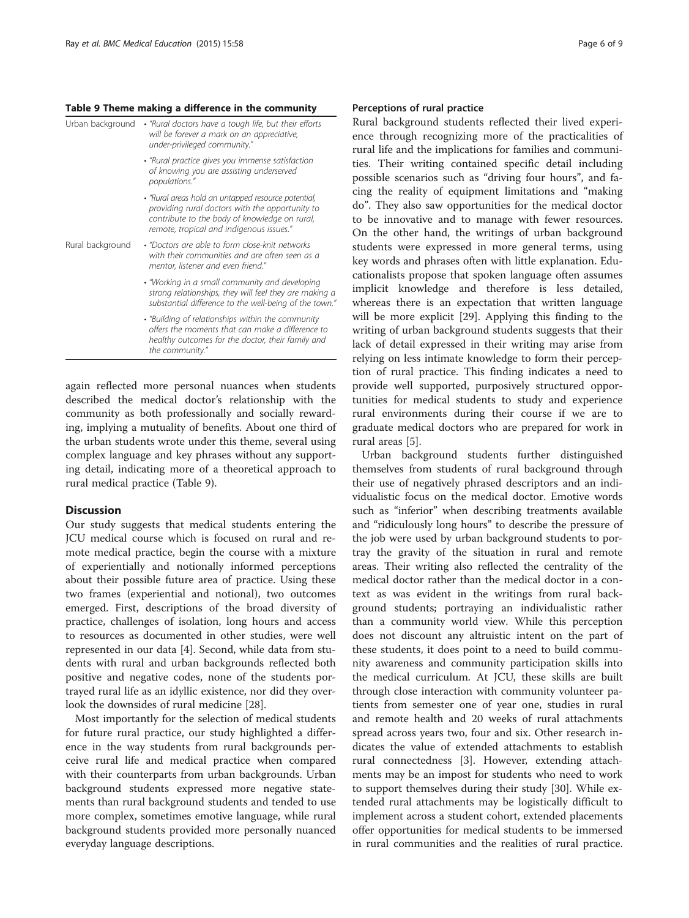#### Table 9 Theme making a difference in the community

| • "Rural doctors have a tough life, but their efforts<br>will be forever a mark on an appreciative,<br>under-privileged community."                                                                 |
|-----------------------------------------------------------------------------------------------------------------------------------------------------------------------------------------------------|
| • "Rural practice gives you immense satisfaction<br>of knowing you are assisting underserved<br>populations."                                                                                       |
| · "Rural areas hold an untapped resource potential,<br>providing rural doctors with the opportunity to<br>contribute to the body of knowledge on rural,<br>remote, tropical and indigenous issues." |
| • "Doctors are able to form close-knit networks<br>with their communities and are often seen as a<br>mentor, listener and even friend."                                                             |
| · "Working in a small community and developing<br>strong relationships, they will feel they are making a<br>substantial difference to the well-being of the town."                                  |
| • "Building of relationships within the community<br>offers the moments that can make a difference to<br>healthy outcomes for the doctor, their family and<br>the community."                       |
|                                                                                                                                                                                                     |

again reflected more personal nuances when students described the medical doctor's relationship with the community as both professionally and socially rewarding, implying a mutuality of benefits. About one third of the urban students wrote under this theme, several using complex language and key phrases without any supporting detail, indicating more of a theoretical approach to rural medical practice (Table 9).

# **Discussion**

Our study suggests that medical students entering the JCU medical course which is focused on rural and remote medical practice, begin the course with a mixture of experientially and notionally informed perceptions about their possible future area of practice. Using these two frames (experiential and notional), two outcomes emerged. First, descriptions of the broad diversity of practice, challenges of isolation, long hours and access to resources as documented in other studies, were well represented in our data [[4\]](#page-7-0). Second, while data from students with rural and urban backgrounds reflected both positive and negative codes, none of the students portrayed rural life as an idyllic existence, nor did they overlook the downsides of rural medicine [\[28\]](#page-8-0).

Most importantly for the selection of medical students for future rural practice, our study highlighted a difference in the way students from rural backgrounds perceive rural life and medical practice when compared with their counterparts from urban backgrounds. Urban background students expressed more negative statements than rural background students and tended to use more complex, sometimes emotive language, while rural background students provided more personally nuanced everyday language descriptions.

#### Perceptions of rural practice

Rural background students reflected their lived experience through recognizing more of the practicalities of rural life and the implications for families and communities. Their writing contained specific detail including possible scenarios such as "driving four hours", and facing the reality of equipment limitations and "making do". They also saw opportunities for the medical doctor to be innovative and to manage with fewer resources. On the other hand, the writings of urban background students were expressed in more general terms, using key words and phrases often with little explanation. Educationalists propose that spoken language often assumes implicit knowledge and therefore is less detailed, whereas there is an expectation that written language will be more explicit [\[29\]](#page-8-0). Applying this finding to the writing of urban background students suggests that their lack of detail expressed in their writing may arise from relying on less intimate knowledge to form their perception of rural practice. This finding indicates a need to provide well supported, purposively structured opportunities for medical students to study and experience rural environments during their course if we are to graduate medical doctors who are prepared for work in rural areas [\[5](#page-7-0)].

Urban background students further distinguished themselves from students of rural background through their use of negatively phrased descriptors and an individualistic focus on the medical doctor. Emotive words such as "inferior" when describing treatments available and "ridiculously long hours" to describe the pressure of the job were used by urban background students to portray the gravity of the situation in rural and remote areas. Their writing also reflected the centrality of the medical doctor rather than the medical doctor in a context as was evident in the writings from rural background students; portraying an individualistic rather than a community world view. While this perception does not discount any altruistic intent on the part of these students, it does point to a need to build community awareness and community participation skills into the medical curriculum. At JCU, these skills are built through close interaction with community volunteer patients from semester one of year one, studies in rural and remote health and 20 weeks of rural attachments spread across years two, four and six. Other research indicates the value of extended attachments to establish rural connectedness [[3\]](#page-7-0). However, extending attachments may be an impost for students who need to work to support themselves during their study [\[30](#page-8-0)]. While extended rural attachments may be logistically difficult to implement across a student cohort, extended placements offer opportunities for medical students to be immersed in rural communities and the realities of rural practice.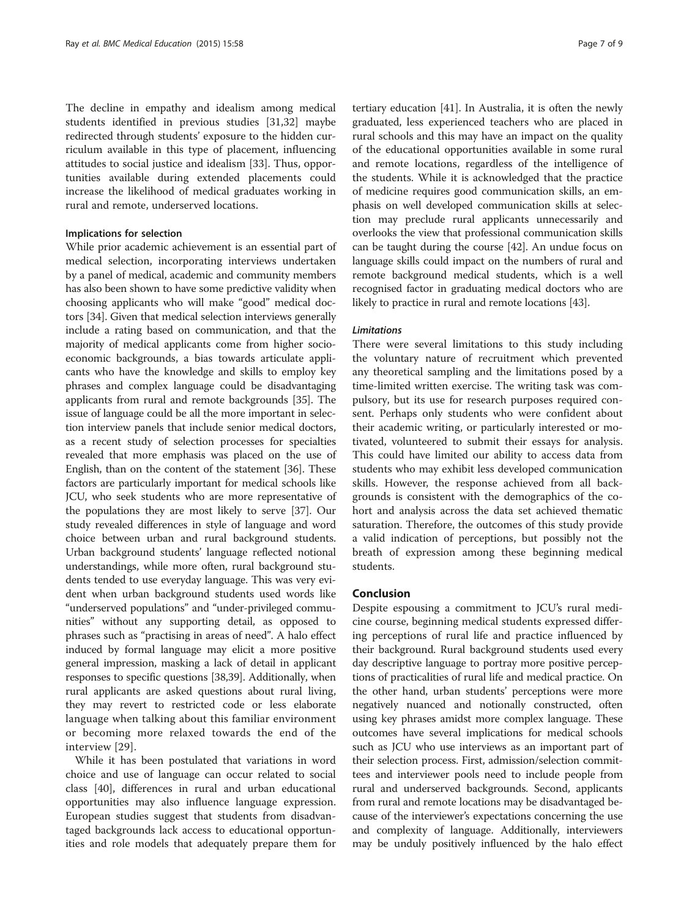The decline in empathy and idealism among medical students identified in previous studies [\[31,32\]](#page-8-0) maybe redirected through students' exposure to the hidden curriculum available in this type of placement, influencing attitudes to social justice and idealism [[33](#page-8-0)]. Thus, opportunities available during extended placements could increase the likelihood of medical graduates working in rural and remote, underserved locations.

# Implications for selection

While prior academic achievement is an essential part of medical selection, incorporating interviews undertaken by a panel of medical, academic and community members has also been shown to have some predictive validity when choosing applicants who will make "good" medical doctors [[34](#page-8-0)]. Given that medical selection interviews generally include a rating based on communication, and that the majority of medical applicants come from higher socioeconomic backgrounds, a bias towards articulate applicants who have the knowledge and skills to employ key phrases and complex language could be disadvantaging applicants from rural and remote backgrounds [\[35\]](#page-8-0). The issue of language could be all the more important in selection interview panels that include senior medical doctors, as a recent study of selection processes for specialties revealed that more emphasis was placed on the use of English, than on the content of the statement [\[36](#page-8-0)]. These factors are particularly important for medical schools like JCU, who seek students who are more representative of the populations they are most likely to serve [[37](#page-8-0)]. Our study revealed differences in style of language and word choice between urban and rural background students. Urban background students' language reflected notional understandings, while more often, rural background students tended to use everyday language. This was very evident when urban background students used words like "underserved populations" and "under-privileged communities" without any supporting detail, as opposed to phrases such as "practising in areas of need". A halo effect induced by formal language may elicit a more positive general impression, masking a lack of detail in applicant responses to specific questions [[38,39\]](#page-8-0). Additionally, when rural applicants are asked questions about rural living, they may revert to restricted code or less elaborate language when talking about this familiar environment or becoming more relaxed towards the end of the interview [\[29](#page-8-0)].

While it has been postulated that variations in word choice and use of language can occur related to social class [\[40](#page-8-0)], differences in rural and urban educational opportunities may also influence language expression. European studies suggest that students from disadvantaged backgrounds lack access to educational opportunities and role models that adequately prepare them for

tertiary education [[41\]](#page-8-0). In Australia, it is often the newly graduated, less experienced teachers who are placed in rural schools and this may have an impact on the quality of the educational opportunities available in some rural and remote locations, regardless of the intelligence of the students. While it is acknowledged that the practice of medicine requires good communication skills, an emphasis on well developed communication skills at selection may preclude rural applicants unnecessarily and overlooks the view that professional communication skills can be taught during the course [[42](#page-8-0)]. An undue focus on language skills could impact on the numbers of rural and remote background medical students, which is a well recognised factor in graduating medical doctors who are likely to practice in rural and remote locations [\[43\]](#page-8-0).

# Limitations

There were several limitations to this study including the voluntary nature of recruitment which prevented any theoretical sampling and the limitations posed by a time-limited written exercise. The writing task was compulsory, but its use for research purposes required consent. Perhaps only students who were confident about their academic writing, or particularly interested or motivated, volunteered to submit their essays for analysis. This could have limited our ability to access data from students who may exhibit less developed communication skills. However, the response achieved from all backgrounds is consistent with the demographics of the cohort and analysis across the data set achieved thematic saturation. Therefore, the outcomes of this study provide a valid indication of perceptions, but possibly not the breath of expression among these beginning medical students.

# Conclusion

Despite espousing a commitment to JCU's rural medicine course, beginning medical students expressed differing perceptions of rural life and practice influenced by their background. Rural background students used every day descriptive language to portray more positive perceptions of practicalities of rural life and medical practice. On the other hand, urban students' perceptions were more negatively nuanced and notionally constructed, often using key phrases amidst more complex language. These outcomes have several implications for medical schools such as JCU who use interviews as an important part of their selection process. First, admission/selection committees and interviewer pools need to include people from rural and underserved backgrounds. Second, applicants from rural and remote locations may be disadvantaged because of the interviewer's expectations concerning the use and complexity of language. Additionally, interviewers may be unduly positively influenced by the halo effect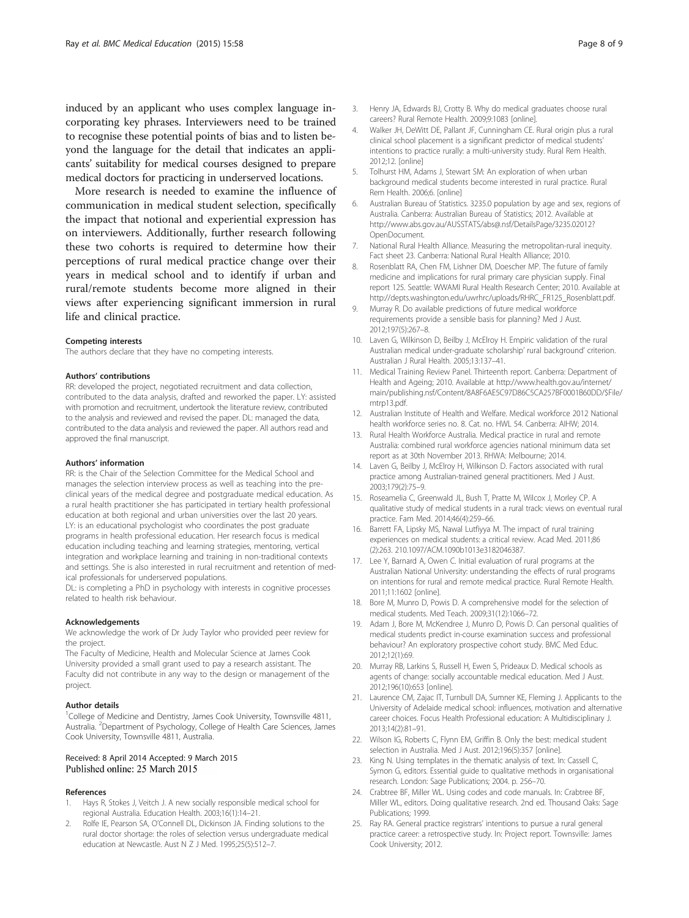<span id="page-7-0"></span>induced by an applicant who uses complex language incorporating key phrases. Interviewers need to be trained to recognise these potential points of bias and to listen beyond the language for the detail that indicates an applicants' suitability for medical courses designed to prepare medical doctors for practicing in underserved locations.

More research is needed to examine the influence of communication in medical student selection, specifically the impact that notional and experiential expression has on interviewers. Additionally, further research following these two cohorts is required to determine how their perceptions of rural medical practice change over their years in medical school and to identify if urban and rural/remote students become more aligned in their views after experiencing significant immersion in rural life and clinical practice.

#### Competing interests

The authors declare that they have no competing interests.

#### Authors' contributions

RR: developed the project, negotiated recruitment and data collection, contributed to the data analysis, drafted and reworked the paper. LY: assisted with promotion and recruitment, undertook the literature review, contributed to the analysis and reviewed and revised the paper. DL: managed the data, contributed to the data analysis and reviewed the paper. All authors read and approved the final manuscript.

#### Authors' information

RR: is the Chair of the Selection Committee for the Medical School and manages the selection interview process as well as teaching into the preclinical years of the medical degree and postgraduate medical education. As a rural health practitioner she has participated in tertiary health professional education at both regional and urban universities over the last 20 years. LY: is an educational psychologist who coordinates the post graduate programs in health professional education. Her research focus is medical education including teaching and learning strategies, mentoring, vertical integration and workplace learning and training in non-traditional contexts and settings. She is also interested in rural recruitment and retention of medical professionals for underserved populations.

DL: is completing a PhD in psychology with interests in cognitive processes related to health risk behaviour.

#### Acknowledgements

We acknowledge the work of Dr Judy Taylor who provided peer review for the project.

The Faculty of Medicine, Health and Molecular Science at James Cook University provided a small grant used to pay a research assistant. The Faculty did not contribute in any way to the design or management of the project.

#### Author details

<sup>1</sup>College of Medicine and Dentistry, James Cook University, Townsville 4811, Australia. <sup>2</sup>Department of Psychology, College of Health Care Sciences, James Cook University, Townsville 4811, Australia.

#### Received: 8 April 2014 Accepted: 9 March 2015 Published online: 25 March 2015

# References

- Hays R, Stokes J, Veitch J. A new socially responsible medical school for regional Australia. Education Health. 2003;16(1):14–21.
- 2. Rolfe IE, Pearson SA, O'Connell DL, Dickinson JA. Finding solutions to the rural doctor shortage: the roles of selection versus undergraduate medical education at Newcastle. Aust N Z J Med. 1995;25(5):512–7.
- 3. Henry JA, Edwards BJ, Crotty B. Why do medical graduates choose rural careers? Rural Remote Health. 2009;9:1083 [online].
- 4. Walker JH, DeWitt DE, Pallant JF, Cunningham CE. Rural origin plus a rural clinical school placement is a significant predictor of medical students' intentions to practice rurally: a multi-university study. Rural Rem Health. 2012;12. [online]
- 5. Tolhurst HM, Adams J, Stewart SM: An exploration of when urban background medical students become interested in rural practice. Rural Rem Health. 2006;6. [online]
- 6. Australian Bureau of Statistics. 3235.0 population by age and sex, regions of Australia. Canberra: Australian Bureau of Statistics; 2012. Available at [http://www.abs.gov.au/AUSSTATS/abs@.nsf/DetailsPage/3235.02012?](http://www.abs.gov.au/AUSSTATS/abs@.nsf/DetailsPage/3235.02012?OpenDocument) [OpenDocument.](http://www.abs.gov.au/AUSSTATS/abs@.nsf/DetailsPage/3235.02012?OpenDocument)
- 7. National Rural Health Alliance. Measuring the metropolitan-rural inequity. Fact sheet 23. Canberra: National Rural Health Alliance; 2010.
- 8. Rosenblatt RA, Chen FM, Lishner DM, Doescher MP. The future of family medicine and implications for rural primary care physician supply. Final report 125. Seattle: WWAMI Rural Health Research Center; 2010. Available at [http://depts.washington.edu/uwrhrc/uploads/RHRC\\_FR125\\_Rosenblatt.pdf.](http://depts.washington.edu/uwrhrc/uploads/RHRC_FR125_Rosenblatt.pdf)
- 9. Murray R. Do available predictions of future medical workforce requirements provide a sensible basis for planning? Med J Aust. 2012;197(5):267–8.
- 10. Laven G, Wilkinson D, Beilby J, McElroy H. Empiric validation of the rural Australian medical under-graduate scholarship' rural background' criterion. Australian J Rural Health. 2005;13:137–41.
- 11. Medical Training Review Panel. Thirteenth report. Canberra: Department of Health and Ageing; 2010. Available at [http://www.health.gov.au/internet/](http://www.health.gov.au/internet/main/publishing.nsf/Content/8A8F6AE5C97D86C5CA257BF0001B60DD/File/mtrp13.pdf) [main/publishing.nsf/Content/8A8F6AE5C97D86C5CA257BF0001B60DD/\\$File/](http://www.health.gov.au/internet/main/publishing.nsf/Content/8A8F6AE5C97D86C5CA257BF0001B60DD/File/mtrp13.pdf) [mtrp13.pdf](http://www.health.gov.au/internet/main/publishing.nsf/Content/8A8F6AE5C97D86C5CA257BF0001B60DD/File/mtrp13.pdf).
- 12. Australian Institute of Health and Welfare. Medical workforce 2012 National health workforce series no. 8. Cat. no. HWL 54. Canberra: AIHW; 2014.
- 13. Rural Health Workforce Australia. Medical practice in rural and remote Australia: combined rural workforce agencies national minimum data set report as at 30th November 2013. RHWA: Melbourne; 2014.
- 14. Laven G, Beilby J, McElroy H, Wilkinson D. Factors associated with rural practice among Australian-trained general practitioners. Med J Aust. 2003;179(2):75–9.
- 15. Roseamelia C, Greenwald JL, Bush T, Pratte M, Wilcox J, Morley CP. A qualitative study of medical students in a rural track: views on eventual rural practice. Fam Med. 2014;46(4):259–66.
- 16. Barrett FA, Lipsky MS, Nawal Lutfiyya M. The impact of rural training experiences on medical students: a critical review. Acad Med. 2011;86 (2):263. 210.1097/ACM.1090b1013e3182046387.
- 17. Lee Y, Barnard A, Owen C. Initial evaluation of rural programs at the Australian National University: understanding the effects of rural programs on intentions for rural and remote medical practice. Rural Remote Health. 2011;11:1602 [online].
- 18. Bore M, Munro D, Powis D. A comprehensive model for the selection of medical students. Med Teach. 2009;31(12):1066–72.
- 19. Adam J, Bore M, McKendree J, Munro D, Powis D. Can personal qualities of medical students predict in-course examination success and professional behaviour? An exploratory prospective cohort study. BMC Med Educ. 2012;12(1):69.
- 20. Murray RB, Larkins S, Russell H, Ewen S, Prideaux D. Medical schools as agents of change: socially accountable medical education. Med J Aust. 2012;196(10):653 [online].
- 21. Laurence CM, Zajac IT, Turnbull DA, Sumner KE, Fleming J. Applicants to the University of Adelaide medical school: influences, motivation and alternative career choices. Focus Health Professional education: A Multidisciplinary J. 2013;14(2):81–91.
- 22. Wilson IG, Roberts C, Flynn EM, Griffin B. Only the best: medical student selection in Australia. Med J Aust. 2012;196(5):357 [online].
- 23. King N. Using templates in the thematic analysis of text. In: Cassell C, Symon G, editors. Essential guide to qualitative methods in organisational research. London: Sage Publications; 2004. p. 256–70.
- 24. Crabtree BF, Miller WL. Using codes and code manuals. In: Crabtree BF, Miller WL, editors. Doing qualitative research. 2nd ed. Thousand Oaks: Sage Publications; 1999.
- 25. Ray RA. General practice registrars' intentions to pursue a rural general practice career: a retrospective study. In: Project report. Townsville: James Cook University; 2012.